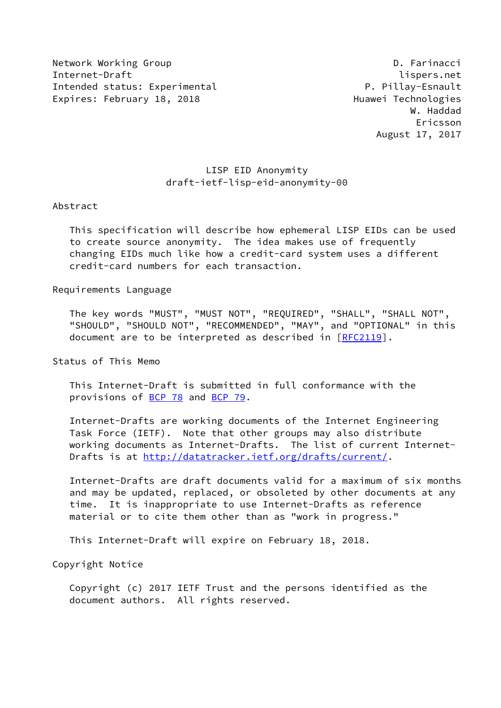Network Working Group **D. Farinacci** Internet-Draft lispers.net Intended status: Experimental P. Pillay-Esnault Expires: February 18, 2018 **Expires: February 18, 2018** 

# LISP EID Anonymity draft-ietf-lisp-eid-anonymity-00

### Abstract

 This specification will describe how ephemeral LISP EIDs can be used to create source anonymity. The idea makes use of frequently changing EIDs much like how a credit-card system uses a different credit-card numbers for each transaction.

## Requirements Language

 The key words "MUST", "MUST NOT", "REQUIRED", "SHALL", "SHALL NOT", "SHOULD", "SHOULD NOT", "RECOMMENDED", "MAY", and "OPTIONAL" in this document are to be interpreted as described in [\[RFC2119](https://datatracker.ietf.org/doc/pdf/rfc2119)].

Status of This Memo

 This Internet-Draft is submitted in full conformance with the provisions of [BCP 78](https://datatracker.ietf.org/doc/pdf/bcp78) and [BCP 79](https://datatracker.ietf.org/doc/pdf/bcp79).

 Internet-Drafts are working documents of the Internet Engineering Task Force (IETF). Note that other groups may also distribute working documents as Internet-Drafts. The list of current Internet Drafts is at<http://datatracker.ietf.org/drafts/current/>.

 Internet-Drafts are draft documents valid for a maximum of six months and may be updated, replaced, or obsoleted by other documents at any time. It is inappropriate to use Internet-Drafts as reference material or to cite them other than as "work in progress."

This Internet-Draft will expire on February 18, 2018.

Copyright Notice

 Copyright (c) 2017 IETF Trust and the persons identified as the document authors. All rights reserved.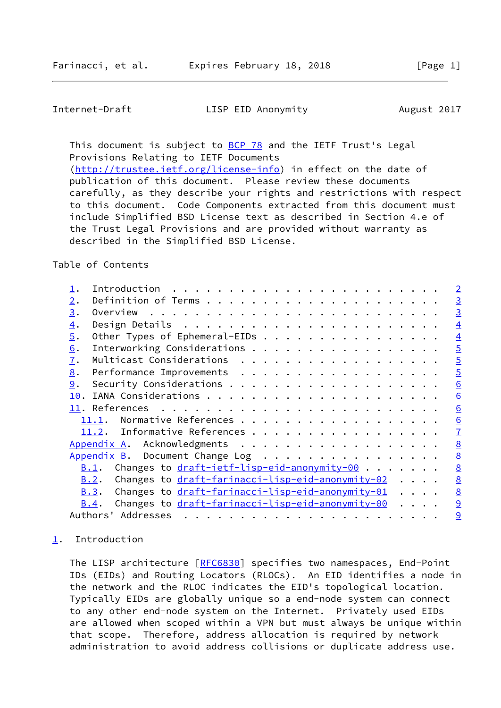<span id="page-1-1"></span>Internet-Draft LISP EID Anonymity August 2017

This document is subject to [BCP 78](https://datatracker.ietf.org/doc/pdf/bcp78) and the IETF Trust's Legal Provisions Relating to IETF Documents [\(http://trustee.ietf.org/license-info](http://trustee.ietf.org/license-info)) in effect on the date of publication of this document. Please review these documents carefully, as they describe your rights and restrictions with respect to this document. Code Components extracted from this document must include Simplified BSD License text as described in Section 4.e of the Trust Legal Provisions and are provided without warranty as

described in the Simplified BSD License.

## Table of Contents

|                  | Introduction                                                                                        | $\overline{2}$  |
|------------------|-----------------------------------------------------------------------------------------------------|-----------------|
| 2.               |                                                                                                     | $\overline{3}$  |
| 3.               |                                                                                                     | $\overline{3}$  |
| $\overline{4}$ . |                                                                                                     | $\overline{4}$  |
| $\overline{5}$ . | Other Types of Ephemeral-EIDs                                                                       | $\overline{4}$  |
| 6.               | Interworking Considerations                                                                         | $\overline{5}$  |
| $\overline{1}$ . | Multicast Considerations                                                                            | $\overline{5}$  |
| 8.               |                                                                                                     | $\overline{5}$  |
| 9.               |                                                                                                     | $\underline{6}$ |
| 10.              |                                                                                                     | $\underline{6}$ |
|                  |                                                                                                     | $\underline{6}$ |
|                  | Normative References<br>11.1.                                                                       | $\underline{6}$ |
|                  | 11.2. Informative References                                                                        | $\overline{1}$  |
|                  | Appendix A. Acknowledgments                                                                         | 8               |
|                  | Appendix B. Document Change Log                                                                     | 8               |
|                  | Changes to draft-ietf-lisp-eid-anonymity-00<br>B.1.                                                 | $\underline{8}$ |
|                  | Changes to draft-farinacci-lisp-eid-anonymity-02<br>B.2.                                            | $\underline{8}$ |
|                  | Changes to draft-farinacci-lisp-eid-anonymity-01<br>B.3.                                            | $\underline{8}$ |
|                  | Changes to draft-farinacci-lisp-eid-anonymity-00<br><u>B.4</u> .<br>$\cdot$ $\cdot$ $\cdot$ $\cdot$ | 9               |
|                  | Addresses<br>Authors'                                                                               | 9               |

## <span id="page-1-0"></span>[1](#page-1-0). Introduction

The LISP architecture [[RFC6830](https://datatracker.ietf.org/doc/pdf/rfc6830)] specifies two namespaces, End-Point IDs (EIDs) and Routing Locators (RLOCs). An EID identifies a node in the network and the RLOC indicates the EID's topological location. Typically EIDs are globally unique so a end-node system can connect to any other end-node system on the Internet. Privately used EIDs are allowed when scoped within a VPN but must always be unique within that scope. Therefore, address allocation is required by network administration to avoid address collisions or duplicate address use.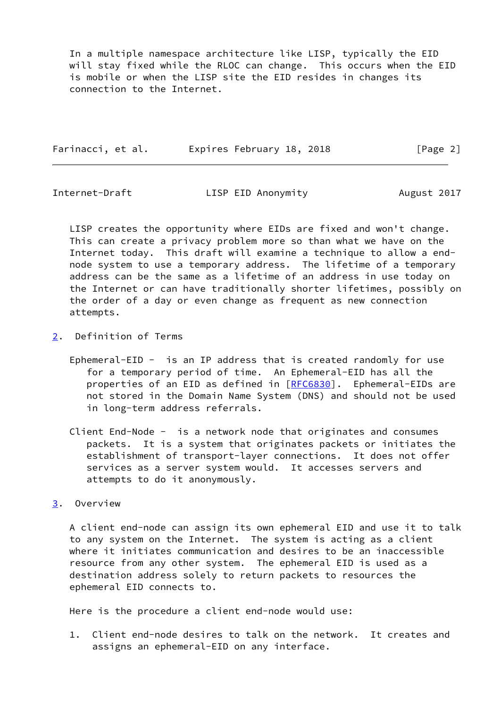In a multiple namespace architecture like LISP, typically the EID will stay fixed while the RLOC can change. This occurs when the EID is mobile or when the LISP site the EID resides in changes its connection to the Internet.

| Farinacci, et al. | Expires February 18, 2018 |  | [Page 2] |
|-------------------|---------------------------|--|----------|
|                   |                           |  |          |

<span id="page-2-1"></span>

Internet-Draft LISP EID Anonymity August 2017

 LISP creates the opportunity where EIDs are fixed and won't change. This can create a privacy problem more so than what we have on the Internet today. This draft will examine a technique to allow a end node system to use a temporary address. The lifetime of a temporary address can be the same as a lifetime of an address in use today on the Internet or can have traditionally shorter lifetimes, possibly on the order of a day or even change as frequent as new connection attempts.

- <span id="page-2-0"></span>[2](#page-2-0). Definition of Terms
	- Ephemeral-EID is an IP address that is created randomly for use for a temporary period of time. An Ephemeral-EID has all the properties of an EID as defined in [[RFC6830](https://datatracker.ietf.org/doc/pdf/rfc6830)]. Ephemeral-EIDs are not stored in the Domain Name System (DNS) and should not be used in long-term address referrals.
	- Client End-Node is a network node that originates and consumes packets. It is a system that originates packets or initiates the establishment of transport-layer connections. It does not offer services as a server system would. It accesses servers and attempts to do it anonymously.
- <span id="page-2-2"></span>[3](#page-2-2). Overview

 A client end-node can assign its own ephemeral EID and use it to talk to any system on the Internet. The system is acting as a client where it initiates communication and desires to be an inaccessible resource from any other system. The ephemeral EID is used as a destination address solely to return packets to resources the ephemeral EID connects to.

Here is the procedure a client end-node would use:

 1. Client end-node desires to talk on the network. It creates and assigns an ephemeral-EID on any interface.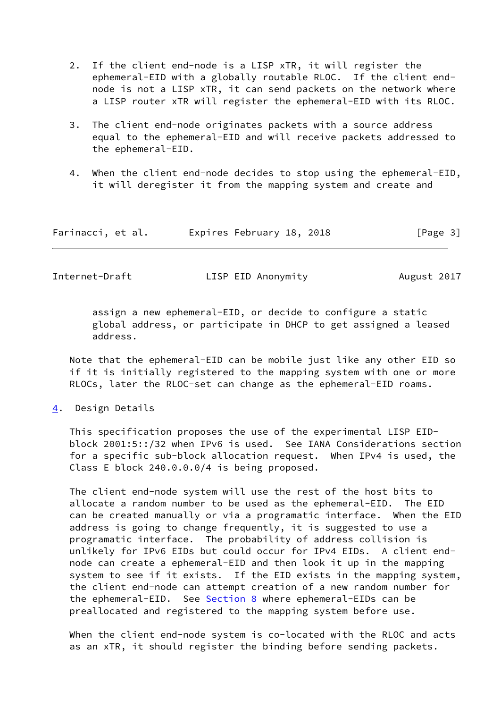- 2. If the client end-node is a LISP xTR, it will register the ephemeral-EID with a globally routable RLOC. If the client end node is not a LISP xTR, it can send packets on the network where a LISP router xTR will register the ephemeral-EID with its RLOC.
- 3. The client end-node originates packets with a source address equal to the ephemeral-EID and will receive packets addressed to the ephemeral-EID.
- 4. When the client end-node decides to stop using the ephemeral-EID, it will deregister it from the mapping system and create and

| Farinacci, et al. | Expires February 18, 2018 | [Page 3] |
|-------------------|---------------------------|----------|
|-------------------|---------------------------|----------|

<span id="page-3-1"></span>Internet-Draft LISP EID Anonymity August 2017

 assign a new ephemeral-EID, or decide to configure a static global address, or participate in DHCP to get assigned a leased address.

 Note that the ephemeral-EID can be mobile just like any other EID so if it is initially registered to the mapping system with one or more RLOCs, later the RLOC-set can change as the ephemeral-EID roams.

<span id="page-3-0"></span>[4](#page-3-0). Design Details

 This specification proposes the use of the experimental LISP EID block 2001:5::/32 when IPv6 is used. See IANA Considerations section for a specific sub-block allocation request. When IPv4 is used, the Class E block 240.0.0.0/4 is being proposed.

 The client end-node system will use the rest of the host bits to allocate a random number to be used as the ephemeral-EID. The EID can be created manually or via a programatic interface. When the EID address is going to change frequently, it is suggested to use a programatic interface. The probability of address collision is unlikely for IPv6 EIDs but could occur for IPv4 EIDs. A client end node can create a ephemeral-EID and then look it up in the mapping system to see if it exists. If the EID exists in the mapping system, the client end-node can attempt creation of a new random number for the ephemeral-EID. See [Section 8](#page-5-0) where ephemeral-EIDs can be preallocated and registered to the mapping system before use.

 When the client end-node system is co-located with the RLOC and acts as an xTR, it should register the binding before sending packets.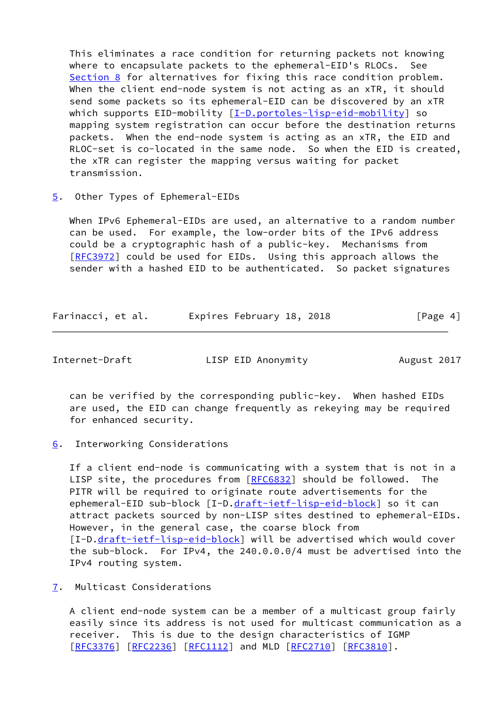This eliminates a race condition for returning packets not knowing where to encapsulate packets to the ephemeral-EID's RLOCs. See [Section 8](#page-5-0) for alternatives for fixing this race condition problem. When the client end-node system is not acting as an xTR, it should send some packets so its ephemeral-EID can be discovered by an xTR which supports EID-mobility [\[I-D.portoles-lisp-eid-mobility](#page-8-5)] so mapping system registration can occur before the destination returns packets. When the end-node system is acting as an xTR, the EID and RLOC-set is co-located in the same node. So when the EID is created, the xTR can register the mapping versus waiting for packet transmission.

<span id="page-4-0"></span>[5](#page-4-0). Other Types of Ephemeral-EIDs

 When IPv6 Ephemeral-EIDs are used, an alternative to a random number can be used. For example, the low-order bits of the IPv6 address could be a cryptographic hash of a public-key. Mechanisms from [\[RFC3972](https://datatracker.ietf.org/doc/pdf/rfc3972)] could be used for EIDs. Using this approach allows the sender with a hashed EID to be authenticated. So packet signatures

| Farinacci, et al. | Expires February 18, 2018 | [Page 4] |
|-------------------|---------------------------|----------|
|                   |                           |          |

<span id="page-4-2"></span>Internet-Draft LISP EID Anonymity August 2017

 can be verified by the corresponding public-key. When hashed EIDs are used, the EID can change frequently as rekeying may be required for enhanced security.

<span id="page-4-1"></span>[6](#page-4-1). Interworking Considerations

 If a client end-node is communicating with a system that is not in a LISP site, the procedures from [\[RFC6832](https://datatracker.ietf.org/doc/pdf/rfc6832)] should be followed. The PITR will be required to originate route advertisements for the ephemeral-EID sub-block [I-D[.draft-ietf-lisp-eid-block](https://datatracker.ietf.org/doc/pdf/draft-ietf-lisp-eid-block)] so it can attract packets sourced by non-LISP sites destined to ephemeral-EIDs. However, in the general case, the coarse block from [I-D[.draft-ietf-lisp-eid-block](https://datatracker.ietf.org/doc/pdf/draft-ietf-lisp-eid-block)] will be advertised which would cover the sub-block. For IPv4, the 240.0.0.0/4 must be advertised into the IPv4 routing system.

<span id="page-4-3"></span>[7](#page-4-3). Multicast Considerations

 A client end-node system can be a member of a multicast group fairly easily since its address is not used for multicast communication as a receiver. This is due to the design characteristics of IGMP [\[RFC3376](https://datatracker.ietf.org/doc/pdf/rfc3376)] [[RFC2236](https://datatracker.ietf.org/doc/pdf/rfc2236)] [\[RFC1112](https://datatracker.ietf.org/doc/pdf/rfc1112)] and MLD [[RFC2710](https://datatracker.ietf.org/doc/pdf/rfc2710)] [\[RFC3810](https://datatracker.ietf.org/doc/pdf/rfc3810)].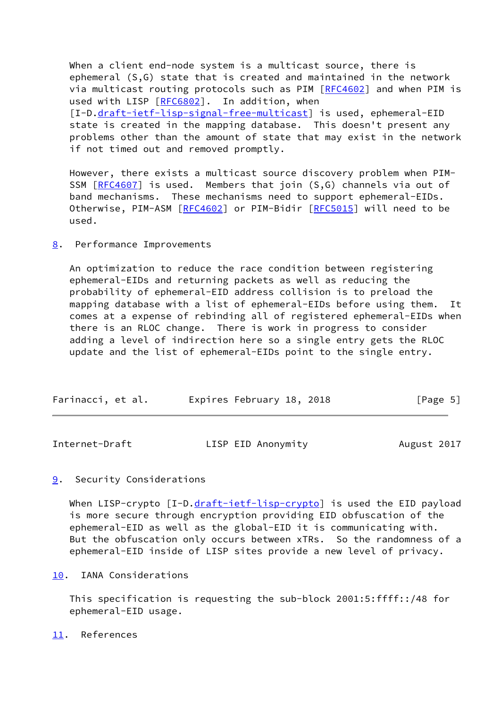When a client end-node system is a multicast source, there is ephemeral (S,G) state that is created and maintained in the network via multicast routing protocols such as PIM [\[RFC4602](https://datatracker.ietf.org/doc/pdf/rfc4602)] and when PIM is used with LISP [\[RFC6802](https://datatracker.ietf.org/doc/pdf/rfc6802)]. In addition, when [I-D[.draft-ietf-lisp-signal-free-multicast](https://datatracker.ietf.org/doc/pdf/draft-ietf-lisp-signal-free-multicast)] is used, ephemeral-EID state is created in the mapping database. This doesn't present any problems other than the amount of state that may exist in the network if not timed out and removed promptly.

 However, there exists a multicast source discovery problem when PIM- SSM [\[RFC4607](https://datatracker.ietf.org/doc/pdf/rfc4607)] is used. Members that join (S,G) channels via out of band mechanisms. These mechanisms need to support ephemeral-EIDs. Otherwise, PIM-ASM [[RFC4602\]](https://datatracker.ietf.org/doc/pdf/rfc4602) or PIM-Bidir [[RFC5015](https://datatracker.ietf.org/doc/pdf/rfc5015)] will need to be used.

### <span id="page-5-0"></span>[8](#page-5-0). Performance Improvements

 An optimization to reduce the race condition between registering ephemeral-EIDs and returning packets as well as reducing the probability of ephemeral-EID address collision is to preload the mapping database with a list of ephemeral-EIDs before using them. It comes at a expense of rebinding all of registered ephemeral-EIDs when there is an RLOC change. There is work in progress to consider adding a level of indirection here so a single entry gets the RLOC update and the list of ephemeral-EIDs point to the single entry.

| Farinacci, et al. | Expires February 18, 2018 | [Page 5] |
|-------------------|---------------------------|----------|
|                   |                           |          |

<span id="page-5-2"></span>

| Internet-Draft | LISP EID Anonymity | August 2017 |
|----------------|--------------------|-------------|
|                |                    |             |

## <span id="page-5-1"></span>[9](#page-5-1). Security Considerations

When LISP-crypto [I-D[.draft-ietf-lisp-crypto](https://datatracker.ietf.org/doc/pdf/draft-ietf-lisp-crypto)] is used the EID payload is more secure through encryption providing EID obfuscation of the ephemeral-EID as well as the global-EID it is communicating with. But the obfuscation only occurs between xTRs. So the randomness of a ephemeral-EID inside of LISP sites provide a new level of privacy.

## <span id="page-5-3"></span>[10.](#page-5-3) IANA Considerations

 This specification is requesting the sub-block 2001:5:ffff::/48 for ephemeral-EID usage.

<span id="page-5-4"></span>[11.](#page-5-4) References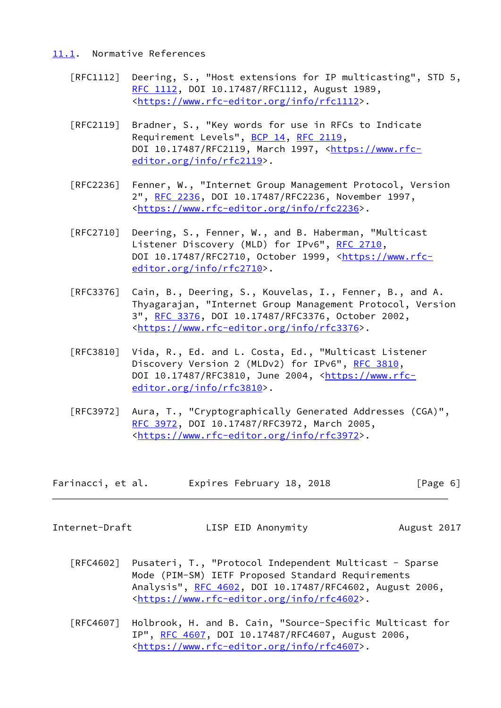## <span id="page-6-0"></span>[11.1](#page-6-0). Normative References

- [RFC1112] Deering, S., "Host extensions for IP multicasting", STD 5, [RFC 1112,](https://datatracker.ietf.org/doc/pdf/rfc1112) DOI 10.17487/RFC1112, August 1989, <[https://www.rfc-editor.org/info/rfc1112>](https://www.rfc-editor.org/info/rfc1112).
- [RFC2119] Bradner, S., "Key words for use in RFCs to Indicate Requirement Levels", [BCP 14](https://datatracker.ietf.org/doc/pdf/bcp14), [RFC 2119](https://datatracker.ietf.org/doc/pdf/rfc2119), DOI 10.17487/RFC2119, March 1997, [<https://www.rfc](https://www.rfc-editor.org/info/rfc2119) [editor.org/info/rfc2119](https://www.rfc-editor.org/info/rfc2119)>.
- [RFC2236] Fenner, W., "Internet Group Management Protocol, Version 2", [RFC 2236,](https://datatracker.ietf.org/doc/pdf/rfc2236) DOI 10.17487/RFC2236, November 1997, <[https://www.rfc-editor.org/info/rfc2236>](https://www.rfc-editor.org/info/rfc2236).
- [RFC2710] Deering, S., Fenner, W., and B. Haberman, "Multicast Listener Discovery (MLD) for IPv6", [RFC 2710,](https://datatracker.ietf.org/doc/pdf/rfc2710) DOI 10.17487/RFC2710, October 1999, [<https://www.rfc](https://www.rfc-editor.org/info/rfc2710) [editor.org/info/rfc2710](https://www.rfc-editor.org/info/rfc2710)>.
- [RFC3376] Cain, B., Deering, S., Kouvelas, I., Fenner, B., and A. Thyagarajan, "Internet Group Management Protocol, Version 3", [RFC 3376,](https://datatracker.ietf.org/doc/pdf/rfc3376) DOI 10.17487/RFC3376, October 2002, <[https://www.rfc-editor.org/info/rfc3376>](https://www.rfc-editor.org/info/rfc3376).
- [RFC3810] Vida, R., Ed. and L. Costa, Ed., "Multicast Listener Discovery Version 2 (MLDv2) for IPv6", [RFC 3810](https://datatracker.ietf.org/doc/pdf/rfc3810), DOI 10.17487/RFC3810, June 2004, [<https://www.rfc](https://www.rfc-editor.org/info/rfc3810) [editor.org/info/rfc3810](https://www.rfc-editor.org/info/rfc3810)>.
- [RFC3972] Aura, T., "Cryptographically Generated Addresses (CGA)", [RFC 3972,](https://datatracker.ietf.org/doc/pdf/rfc3972) DOI 10.17487/RFC3972, March 2005, <[https://www.rfc-editor.org/info/rfc3972>](https://www.rfc-editor.org/info/rfc3972).

| Farinacci, et al. | Expires February 18, 2018 | [Page 6] |
|-------------------|---------------------------|----------|
|-------------------|---------------------------|----------|

<span id="page-6-1"></span>

Internet-Draft LISP EID Anonymity August 2017

- [RFC4602] Pusateri, T., "Protocol Independent Multicast Sparse Mode (PIM-SM) IETF Proposed Standard Requirements Analysis", [RFC 4602](https://datatracker.ietf.org/doc/pdf/rfc4602), DOI 10.17487/RFC4602, August 2006, <[https://www.rfc-editor.org/info/rfc4602>](https://www.rfc-editor.org/info/rfc4602).
- [RFC4607] Holbrook, H. and B. Cain, "Source-Specific Multicast for IP", [RFC 4607](https://datatracker.ietf.org/doc/pdf/rfc4607), DOI 10.17487/RFC4607, August 2006, <[https://www.rfc-editor.org/info/rfc4607>](https://www.rfc-editor.org/info/rfc4607).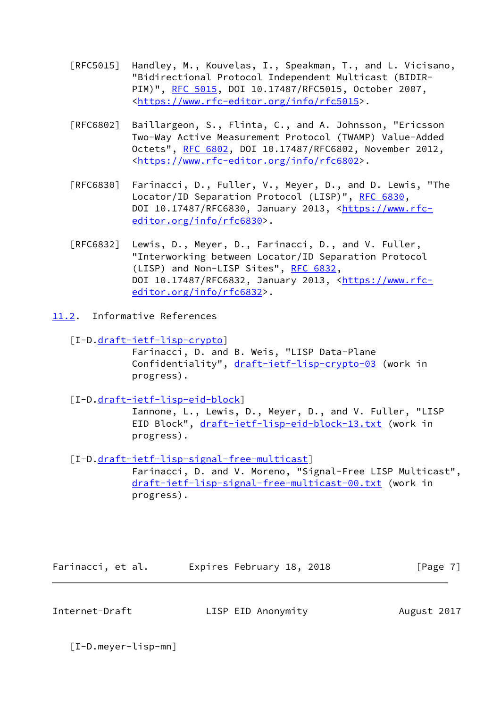- [RFC5015] Handley, M., Kouvelas, I., Speakman, T., and L. Vicisano, "Bidirectional Protocol Independent Multicast (BIDIR- PIM)", [RFC 5015](https://datatracker.ietf.org/doc/pdf/rfc5015), DOI 10.17487/RFC5015, October 2007, <[https://www.rfc-editor.org/info/rfc5015>](https://www.rfc-editor.org/info/rfc5015).
- [RFC6802] Baillargeon, S., Flinta, C., and A. Johnsson, "Ericsson Two-Way Active Measurement Protocol (TWAMP) Value-Added Octets", [RFC 6802,](https://datatracker.ietf.org/doc/pdf/rfc6802) DOI 10.17487/RFC6802, November 2012, <[https://www.rfc-editor.org/info/rfc6802>](https://www.rfc-editor.org/info/rfc6802).
- [RFC6830] Farinacci, D., Fuller, V., Meyer, D., and D. Lewis, "The Locator/ID Separation Protocol (LISP)", [RFC 6830,](https://datatracker.ietf.org/doc/pdf/rfc6830) DOI 10.17487/RFC6830, January 2013, [<https://www.rfc](https://www.rfc-editor.org/info/rfc6830) [editor.org/info/rfc6830](https://www.rfc-editor.org/info/rfc6830)>.
- [RFC6832] Lewis, D., Meyer, D., Farinacci, D., and V. Fuller, "Interworking between Locator/ID Separation Protocol (LISP) and Non-LISP Sites", [RFC 6832,](https://datatracker.ietf.org/doc/pdf/rfc6832) DOI 10.17487/RFC6832, January 2013, [<https://www.rfc](https://www.rfc-editor.org/info/rfc6832) [editor.org/info/rfc6832](https://www.rfc-editor.org/info/rfc6832)>.
- <span id="page-7-0"></span>[11.2](#page-7-0). Informative References
	- [I-D[.draft-ietf-lisp-crypto](https://datatracker.ietf.org/doc/pdf/draft-ietf-lisp-crypto)]

 Farinacci, D. and B. Weis, "LISP Data-Plane Confidentiality", [draft-ietf-lisp-crypto-03](https://datatracker.ietf.org/doc/pdf/draft-ietf-lisp-crypto-03) (work in progress).

[I-D[.draft-ietf-lisp-eid-block](https://datatracker.ietf.org/doc/pdf/draft-ietf-lisp-eid-block)]

 Iannone, L., Lewis, D., Meyer, D., and V. Fuller, "LISP EID Block", [draft-ietf-lisp-eid-block-13.txt](https://datatracker.ietf.org/doc/pdf/draft-ietf-lisp-eid-block-13.txt) (work in progress).

 [I-D[.draft-ietf-lisp-signal-free-multicast](https://datatracker.ietf.org/doc/pdf/draft-ietf-lisp-signal-free-multicast)] Farinacci, D. and V. Moreno, "Signal-Free LISP Multicast",

 [draft-ietf-lisp-signal-free-multicast-00.txt](https://datatracker.ietf.org/doc/pdf/draft-ietf-lisp-signal-free-multicast-00.txt) (work in progress).

| Farinacci, et al. | Expires February 18, 2018 | [Page 7] |
|-------------------|---------------------------|----------|
|-------------------|---------------------------|----------|

<span id="page-7-1"></span>Internet-Draft LISP EID Anonymity August 2017

[I-D.meyer-lisp-mn]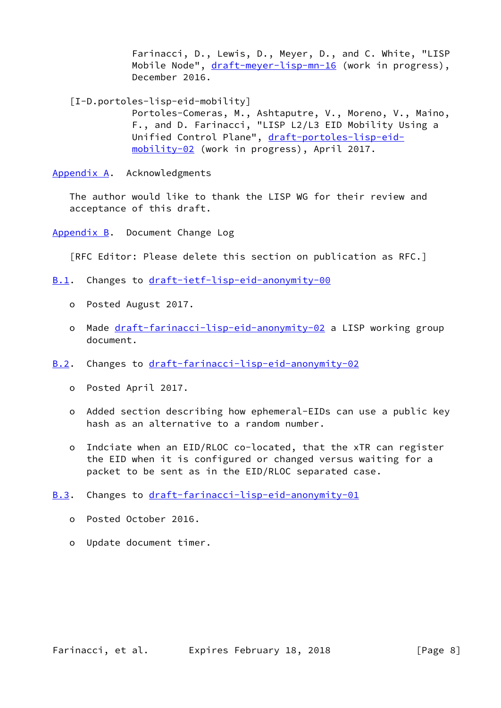Farinacci, D., Lewis, D., Meyer, D., and C. White, "LISP Mobile Node", [draft-meyer-lisp-mn-16](https://datatracker.ietf.org/doc/pdf/draft-meyer-lisp-mn-16) (work in progress), December 2016.

<span id="page-8-5"></span>[I-D.portoles-lisp-eid-mobility]

 Portoles-Comeras, M., Ashtaputre, V., Moreno, V., Maino, F., and D. Farinacci, "LISP L2/L3 EID Mobility Using a Unified Control Plane", [draft-portoles-lisp-eid](https://datatracker.ietf.org/doc/pdf/draft-portoles-lisp-eid-mobility-02) [mobility-02](https://datatracker.ietf.org/doc/pdf/draft-portoles-lisp-eid-mobility-02) (work in progress), April 2017.

<span id="page-8-0"></span>[Appendix A.](#page-8-0) Acknowledgments

 The author would like to thank the LISP WG for their review and acceptance of this draft.

<span id="page-8-1"></span>[Appendix B.](#page-8-1) Document Change Log

[RFC Editor: Please delete this section on publication as RFC.]

- <span id="page-8-2"></span>[B.1](#page-8-2). Changes to [draft-ietf-lisp-eid-anonymity-00](https://datatracker.ietf.org/doc/pdf/draft-ietf-lisp-eid-anonymity-00)
	- o Posted August 2017.
	- o Made [draft-farinacci-lisp-eid-anonymity-02](https://datatracker.ietf.org/doc/pdf/draft-farinacci-lisp-eid-anonymity-02) a LISP working group document.
- <span id="page-8-3"></span>[B.2](#page-8-3). Changes to [draft-farinacci-lisp-eid-anonymity-02](https://datatracker.ietf.org/doc/pdf/draft-farinacci-lisp-eid-anonymity-02)
	- o Posted April 2017.
	- o Added section describing how ephemeral-EIDs can use a public key hash as an alternative to a random number.
	- o Indciate when an EID/RLOC co-located, that the xTR can register the EID when it is configured or changed versus waiting for a packet to be sent as in the EID/RLOC separated case.
- <span id="page-8-4"></span>[B.3](#page-8-4). Changes to [draft-farinacci-lisp-eid-anonymity-01](https://datatracker.ietf.org/doc/pdf/draft-farinacci-lisp-eid-anonymity-01)
	- o Posted October 2016.
	- o Update document timer.